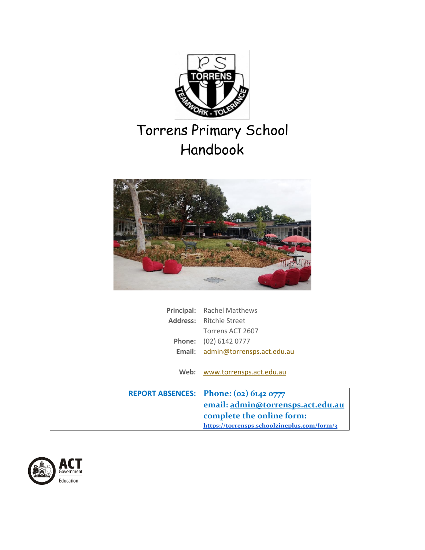

# Torrens Primary School Handbook



| Principal: Rachel Matthews        |  |
|-----------------------------------|--|
| <b>Address:</b> Ritchie Street    |  |
| Torrens ACT 2607                  |  |
| Phone: (02) 6142 0777             |  |
| Email: admin@torrensps.act.edu.au |  |
|                                   |  |

**Web:** [www.torrensps.act.edu.au](http://www.torrensps.act.edu.au/)

| REPORT ABSENCES: Phone: (02) 6142 0777      |
|---------------------------------------------|
| email: admin@torrensps.act.edu.au           |
| complete the online form:                   |
| https://torrensps.schoolzineplus.com/form/3 |

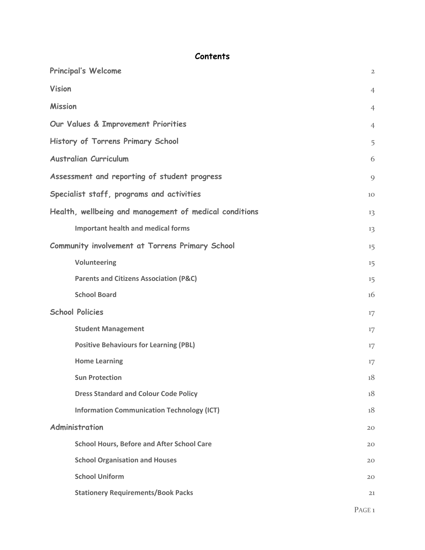# **Contents**

| <b>Principal's Welcome</b>                             | $\overline{2}$ |
|--------------------------------------------------------|----------------|
| <b>Vision</b>                                          | $\overline{4}$ |
| <b>Mission</b>                                         | $\overline{4}$ |
| Our Values & Improvement Priorities                    | $\overline{4}$ |
| History of Torrens Primary School                      | 5              |
| <b>Australian Curriculum</b>                           | 6              |
| Assessment and reporting of student progress           | 9              |
| Specialist staff, programs and activities              | 10             |
| Health, wellbeing and management of medical conditions | 13             |
| <b>Important health and medical forms</b>              | 13             |
| Community involvement at Torrens Primary School        | 15             |
| Volunteering                                           | 15             |
| <b>Parents and Citizens Association (P&amp;C)</b>      | 15             |
| <b>School Board</b>                                    | 16             |
| <b>School Policies</b>                                 | 17             |
| <b>Student Management</b>                              | 17             |
| <b>Positive Behaviours for Learning (PBL)</b>          | 17             |
| <b>Home Learning</b>                                   | 17             |
| <b>Sun Protection</b>                                  | 18             |
| <b>Dress Standard and Colour Code Policy</b>           | 18             |
| <b>Information Communication Technology (ICT)</b>      | 18             |
| Administration                                         | 20             |
| <b>School Hours, Before and After School Care</b>      | 20             |
| <b>School Organisation and Houses</b>                  | 20             |
| <b>School Uniform</b>                                  | 20             |
| <b>Stationery Requirements/Book Packs</b>              | 21             |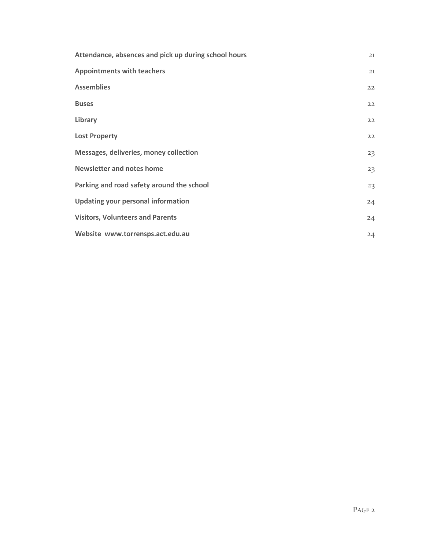<span id="page-2-0"></span>

| Attendance, absences and pick up during school hours | 21 |
|------------------------------------------------------|----|
| <b>Appointments with teachers</b>                    | 21 |
| <b>Assemblies</b>                                    | 22 |
| <b>Buses</b>                                         | 22 |
| Library                                              | 22 |
| <b>Lost Property</b>                                 | 22 |
| Messages, deliveries, money collection               | 23 |
| <b>Newsletter and notes home</b>                     | 23 |
| Parking and road safety around the school            | 23 |
| <b>Updating your personal information</b>            | 24 |
| <b>Visitors, Volunteers and Parents</b>              | 24 |
| Website www.torrensps.act.edu.au                     | 24 |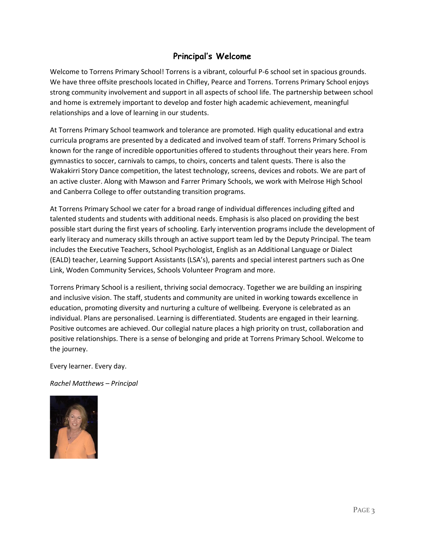# **Principal's Welcome**

Welcome to Torrens Primary School! Torrens is a vibrant, colourful P-6 school set in spacious grounds. We have three offsite preschools located in Chifley, Pearce and Torrens. Torrens Primary School enjoys strong community involvement and support in all aspects of school life. The partnership between school and home is extremely important to develop and foster high academic achievement, meaningful relationships and a love of learning in our students.

At Torrens Primary School teamwork and tolerance are promoted. High quality educational and extra curricula programs are presented by a dedicated and involved team of staff. Torrens Primary School is known for the range of incredible opportunities offered to students throughout their years here. From gymnastics to soccer, carnivals to camps, to choirs, concerts and talent quests. There is also the Wakakirri Story Dance competition, the latest technology, screens, devices and robots. We are part of an active cluster. Along with Mawson and Farrer Primary Schools, we work with Melrose High School and Canberra College to offer outstanding transition programs.

At Torrens Primary School we cater for a broad range of individual differences including gifted and talented students and students with additional needs. Emphasis is also placed on providing the best possible start during the first years of schooling. Early intervention programs include the development of early literacy and numeracy skills through an active support team led by the Deputy Principal. The team includes the Executive Teachers, School Psychologist, English as an Additional Language or Dialect (EALD) teacher, Learning Support Assistants (LSA's), parents and special interest partners such as One Link, Woden Community Services, Schools Volunteer Program and more.

Torrens Primary School is a resilient, thriving social democracy. Together we are building an inspiring and inclusive vision. The staff, students and community are united in working towards excellence in education, promoting diversity and nurturing a culture of wellbeing. Everyone is celebrated as an individual. Plans are personalised. Learning is differentiated. Students are engaged in their learning. Positive outcomes are achieved. Our collegial nature places a high priority on trust, collaboration and positive relationships. There is a sense of belonging and pride at Torrens Primary School. Welcome to the journey.

Every learner. Every day.

*Rachel Matthews – Principal* 

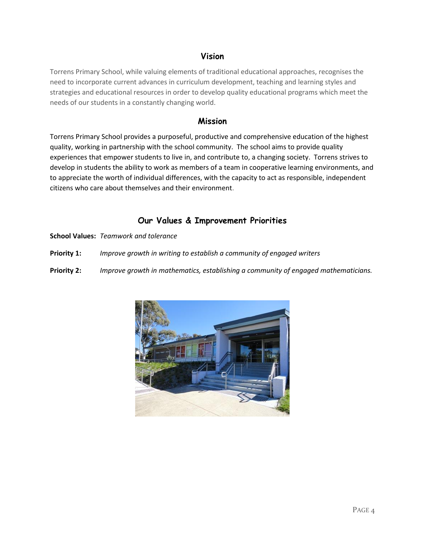# **Vision**

<span id="page-4-0"></span>Torrens Primary School, while valuing elements of traditional educational approaches, recognises the need to incorporate current advances in curriculum development, teaching and learning styles and strategies and educational resources in order to develop quality educational programs which meet the needs of our students in a constantly changing world.

# **Mission**

<span id="page-4-1"></span>Torrens Primary School provides a purposeful, productive and comprehensive education of the highest quality, working in partnership with the school community. The school aims to provide quality experiences that empower students to live in, and contribute to, a changing society. Torrens strives to develop in students the ability to work as members of a team in cooperative learning environments, and to appreciate the worth of individual differences, with the capacity to act as responsible, independent citizens who care about themselves and their environment.

# **Our Values & Improvement Priorities**

<span id="page-4-2"></span>**School Values:** *Teamwork and tolerance*

**Priority 1:** *Improve growth in writing to establish a community of engaged writers*

**Priority 2:** *Improve growth in mathematics, establishing a community of engaged mathematicians.*

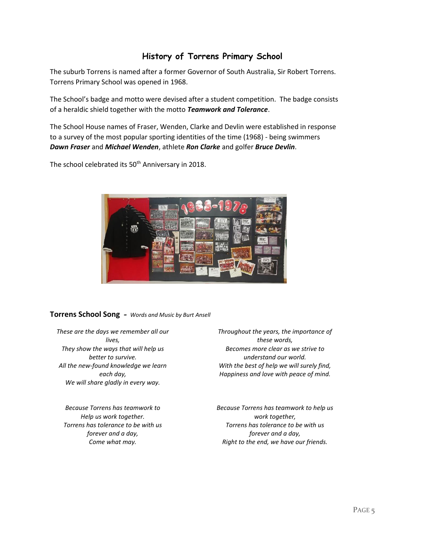# **History of Torrens Primary School**

<span id="page-5-0"></span>The suburb Torrens is named after a former Governor of South Australia, Sir Robert Torrens. Torrens Primary School was opened in 1968.

The School's badge and motto were devised after a student competition. The badge consists of a heraldic shield together with the motto *Teamwork and Tolerance*.

The School House names of Fraser, Wenden, Clarke and Devlin were established in response to a survey of the most popular sporting identities of the time (1968) - being swimmers *Dawn Fraser* and *Michael Wenden*, athlete *Ron Clarke* and golfer *Bruce Devlin*.

The school celebrated its 50<sup>th</sup> Anniversary in 2018.



# **Torrens School Song** *- Words and Music by Burt Ansell*

*These are the days we remember all our lives, They show the ways that will help us better to survive. All the new-found knowledge we learn each day, We will share gladly in every way.*

*Because Torrens has teamwork to Help us work together. Torrens has tolerance to be with us forever and a day, Come what may.*

*Throughout the years, the importance of these words, Becomes more clear as we strive to understand our world. With the best of help we will surely find, Happiness and love with peace of mind.*

*Because Torrens has teamwork to help us work together, Torrens has tolerance to be with us forever and a day, Right to the end, we have our friends.*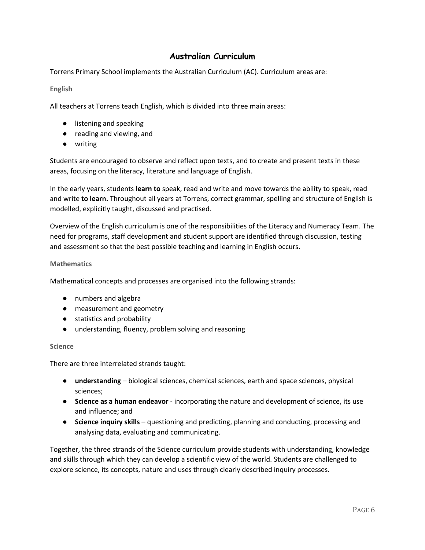# **Australian Curriculum**

<span id="page-6-0"></span>Torrens Primary School implements the Australian Curriculum (AC). Curriculum areas are:

# **English**

All teachers at Torrens teach English, which is divided into three main areas:

- listening and speaking
- reading and viewing, and
- writing

Students are encouraged to observe and reflect upon texts, and to create and present texts in these areas, focusing on the literacy, literature and language of English.

In the early years, students **learn to** speak, read and write and move towards the ability to speak, read and write **to learn.** Throughout all years at Torrens, correct grammar, spelling and structure of English is modelled, explicitly taught, discussed and practised.

Overview of the English curriculum is one of the responsibilities of the Literacy and Numeracy Team. The need for programs, staff development and student support are identified through discussion, testing and assessment so that the best possible teaching and learning in English occurs.

## **Mathematics**

Mathematical concepts and processes are organised into the following strands:

- numbers and algebra
- measurement and geometry
- statistics and probability
- understanding, fluency, problem solving and reasoning

#### **Science**

There are three interrelated strands taught:

- **understanding** biological sciences, chemical sciences, earth and space sciences, physical sciences;
- **Science as a human endeavor** incorporating the nature and development of science, its use and influence; and
- **Science inquiry skills** questioning and predicting, planning and conducting, processing and analysing data, evaluating and communicating.

Together, the three strands of the Science curriculum provide students with understanding, knowledge and skills through which they can develop a scientific view of the world. Students are challenged to explore science, its concepts, nature and uses through clearly described inquiry processes.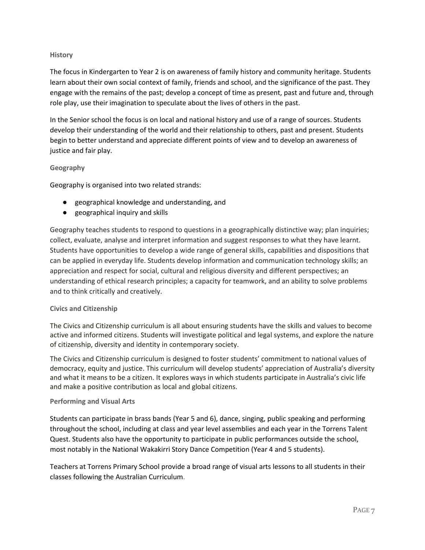# **History**

The focus in Kindergarten to Year 2 is on awareness of family history and community heritage. Students learn about their own social context of family, friends and school, and the significance of the past. They engage with the remains of the past; develop a concept of time as present, past and future and, through role play, use their imagination to speculate about the lives of others in the past.

In the Senior school the focus is on local and national history and use of a range of sources. Students develop their understanding of the world and their relationship to others, past and present. Students begin to better understand and appreciate different points of view and to develop an awareness of justice and fair play.

# **Geography**

Geography is organised into two related strands:

- geographical knowledge and understanding, and
- geographical inquiry and skills

Geography teaches students to respond to questions in a geographically distinctive way; plan inquiries; collect, evaluate, analyse and interpret information and suggest responses to what they have learnt. Students have opportunities to develop a wide range of general skills, capabilities and dispositions that can be applied in everyday life. Students develop information and communication technology skills; an appreciation and respect for social, cultural and religious diversity and different perspectives; an understanding of ethical research principles; a capacity for teamwork, and an ability to solve problems and to think critically and creatively.

# **Civics and Citizenship**

The Civics and Citizenship curriculum is all about ensuring students have the skills and values to become active and informed citizens. Students will investigate political and legal systems, and explore the nature of citizenship, diversity and identity in contemporary society.

The Civics and Citizenship curriculum is designed to foster students' commitment to national values of democracy, equity and justice. This curriculum will develop students' appreciation of Australia's diversity and what it means to be a citizen. It explores ways in which students participate in Australia's civic life and make a positive contribution as local and global citizens.

#### **Performing and Visual Arts**

Students can participate in brass bands (Year 5 and 6), dance, singing, public speaking and performing throughout the school, including at class and year level assemblies and each year in the Torrens Talent Quest. Students also have the opportunity to participate in public performances outside the school, most notably in the National Wakakirri Story Dance Competition (Year 4 and 5 students).

Teachers at Torrens Primary School provide a broad range of visual arts lessons to all students in their classes following the Australian Curriculum.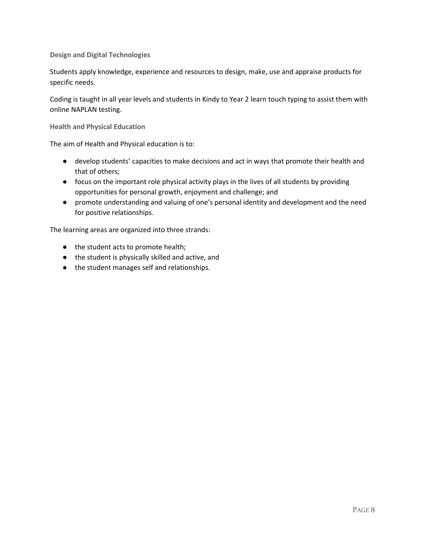**Design and Digital Technologies**

Students apply knowledge, experience and resources to design, make, use and appraise products for specific needs.

Coding is taught in all year levels and students in Kindy to Year 2 learn touch typing to assist them with online NAPLAN testing.

**Health and Physical Education**

The aim of Health and Physical education is to:

- develop students' capacities to make decisions and act in ways that promote their health and that of others;
- focus on the important role physical activity plays in the lives of all students by providing opportunities for personal growth, enjoyment and challenge; and
- promote understanding and valuing of one's personal identity and development and the need for positive relationships.

The learning areas are organized into three strands:

- the student acts to promote health;
- the student is physically skilled and active, and
- the student manages self and relationships.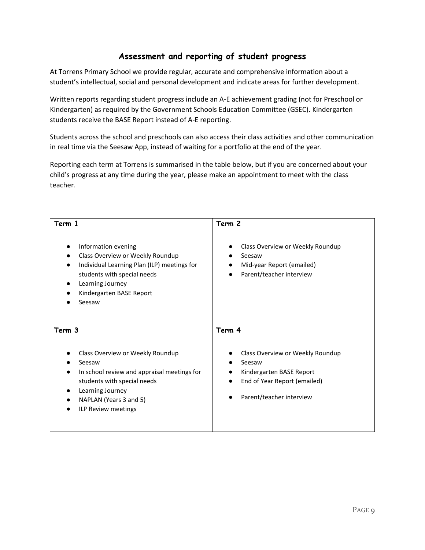# **Assessment and reporting of student progress**

<span id="page-9-0"></span>At Torrens Primary School we provide regular, accurate and comprehensive information about a student's intellectual, social and personal development and indicate areas for further development.

Written reports regarding student progress include an A-E achievement grading (not for Preschool or Kindergarten) as required by the Government Schools Education Committee (GSEC). Kindergarten students receive the BASE Report instead of A-E reporting.

Students across the school and preschools can also access their class activities and other communication in real time via the Seesaw App, instead of waiting for a portfolio at the end of the year.

Reporting each term at Torrens is summarised in the table below, but if you are concerned about your child's progress at any time during the year, please make an appointment to meet with the class teacher.

| Term 1                                                                                                                                                                                          | Term 2                                                                                                                                          |
|-------------------------------------------------------------------------------------------------------------------------------------------------------------------------------------------------|-------------------------------------------------------------------------------------------------------------------------------------------------|
| Information evening<br>Class Overview or Weekly Roundup<br>Individual Learning Plan (ILP) meetings for<br>students with special needs<br>Learning Journey<br>Kindergarten BASE Report<br>Seesaw | Class Overview or Weekly Roundup<br>$\bullet$<br>Seesaw<br>Mid-year Report (emailed)<br>Parent/teacher interview<br>$\bullet$                   |
| Term 3                                                                                                                                                                                          | Term 4                                                                                                                                          |
| Class Overview or Weekly Roundup<br>Seesaw<br>In school review and appraisal meetings for<br>students with special needs<br>Learning Journey<br>NAPLAN (Years 3 and 5)<br>ILP Review meetings   | Class Overview or Weekly Roundup<br>Seesaw<br>Kindergarten BASE Report<br>End of Year Report (emailed)<br>$\bullet$<br>Parent/teacher interview |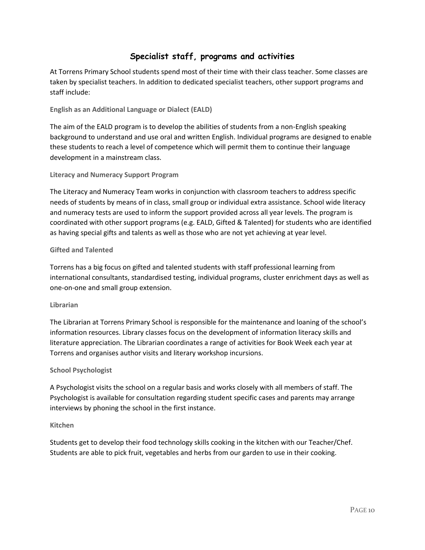# **Specialist staff, programs and activities**

<span id="page-10-0"></span>At Torrens Primary School students spend most of their time with their class teacher. Some classes are taken by specialist teachers. In addition to dedicated specialist teachers, other support programs and staff include:

**English as an Additional Language or Dialect (EALD)**

The aim of the EALD program is to develop the abilities of students from a non-English speaking background to understand and use oral and written English. Individual programs are designed to enable these students to reach a level of competence which will permit them to continue their language development in a mainstream class.

## **Literacy and Numeracy Support Program**

The Literacy and Numeracy Team works in conjunction with classroom teachers to address specific needs of students by means of in class, small group or individual extra assistance. School wide literacy and numeracy tests are used to inform the support provided across all year levels. The program is coordinated with other support programs (e.g. EALD, Gifted & Talented) for students who are identified as having special gifts and talents as well as those who are not yet achieving at year level.

## **Gifted and Talented**

Torrens has a big focus on gifted and talented students with staff professional learning from international consultants, standardised testing, individual programs, cluster enrichment days as well as one-on-one and small group extension.

#### **Librarian**

The Librarian at Torrens Primary School is responsible for the maintenance and loaning of the school's information resources. Library classes focus on the development of information literacy skills and literature appreciation. The Librarian coordinates a range of activities for Book Week each year at Torrens and organises author visits and literary workshop incursions.

#### **School Psychologist**

A Psychologist visits the school on a regular basis and works closely with all members of staff. The Psychologist is available for consultation regarding student specific cases and parents may arrange interviews by phoning the school in the first instance.

#### **Kitchen**

Students get to develop their food technology skills cooking in the kitchen with our Teacher/Chef. Students are able to pick fruit, vegetables and herbs from our garden to use in their cooking.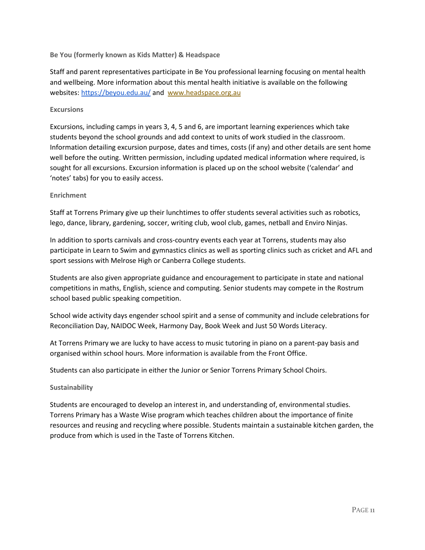**Be You (formerly known as Kids Matter) & Headspace**

Staff and parent representatives participate in Be You professional learning focusing on mental health and wellbeing. More information about this mental health initiative is available on the following websites:<https://beyou.edu.au/> and [www.headspace.org.au](http://www.headspace.org.au/)

## **Excursions**

Excursions, including camps in years 3, 4, 5 and 6, are important learning experiences which take students beyond the school grounds and add context to units of work studied in the classroom. Information detailing excursion purpose, dates and times, costs (if any) and other details are sent home well before the outing. Written permission, including updated medical information where required, is sought for all excursions. Excursion information is placed up on the school website ('calendar' and 'notes' tabs) for you to easily access.

## **Enrichment**

Staff at Torrens Primary give up their lunchtimes to offer students several activities such as robotics, lego, dance, library, gardening, soccer, writing club, wool club, games, netball and Enviro Ninjas.

In addition to sports carnivals and cross-country events each year at Torrens, students may also participate in Learn to Swim and gymnastics clinics as well as sporting clinics such as cricket and AFL and sport sessions with Melrose High or Canberra College students.

Students are also given appropriate guidance and encouragement to participate in state and national competitions in maths, English, science and computing. Senior students may compete in the Rostrum school based public speaking competition.

School wide activity days engender school spirit and a sense of community and include celebrations for Reconciliation Day, NAIDOC Week, Harmony Day, Book Week and Just 50 Words Literacy.

At Torrens Primary we are lucky to have access to music tutoring in piano on a parent-pay basis and organised within school hours. More information is available from the Front Office.

Students can also participate in either the Junior or Senior Torrens Primary School Choirs.

# **Sustainability**

Students are encouraged to develop an interest in, and understanding of, environmental studies. Torrens Primary has a Waste Wise program which teaches children about the importance of finite resources and reusing and recycling where possible. Students maintain a sustainable kitchen garden, the produce from which is used in the Taste of Torrens Kitchen.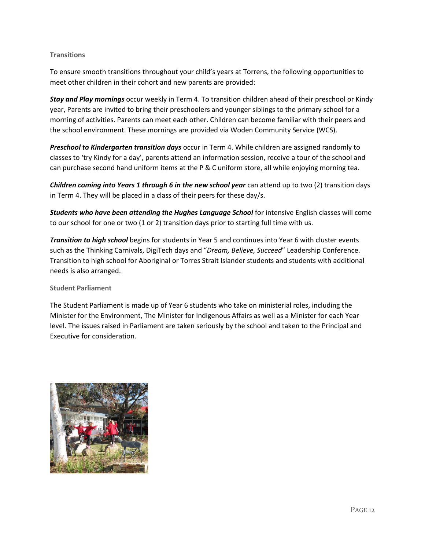# **Transitions**

To ensure smooth transitions throughout your child's years at Torrens, the following opportunities to meet other children in their cohort and new parents are provided:

*Stay and Play mornings* occur weekly in Term 4. To transition children ahead of their preschool or Kindy year, Parents are invited to bring their preschoolers and younger siblings to the primary school for a morning of activities. Parents can meet each other. Children can become familiar with their peers and the school environment. These mornings are provided via Woden Community Service (WCS).

*Preschool to Kindergarten transition days* occur in Term 4. While children are assigned randomly to classes to 'try Kindy for a day', parents attend an information session, receive a tour of the school and can purchase second hand uniform items at the P & C uniform store, all while enjoying morning tea.

*Children coming into Years 1 through 6 in the new school year* can attend up to two (2) transition days in Term 4. They will be placed in a class of their peers for these day/s.

*Students who have been attending the Hughes Language School* for intensive English classes will come to our school for one or two (1 or 2) transition days prior to starting full time with us.

*Transition to high school* begins for students in Year 5 and continues into Year 6 with cluster events such as the Thinking Carnivals, DigiTech days and "*Dream, Believe, Succeed*" Leadership Conference. Transition to high school for Aboriginal or Torres Strait Islander students and students with additional needs is also arranged.

# **Student Parliament**

The Student Parliament is made up of Year 6 students who take on ministerial roles, including the Minister for the Environment, The Minister for Indigenous Affairs as well as a Minister for each Year level. The issues raised in Parliament are taken seriously by the school and taken to the Principal and Executive for consideration.

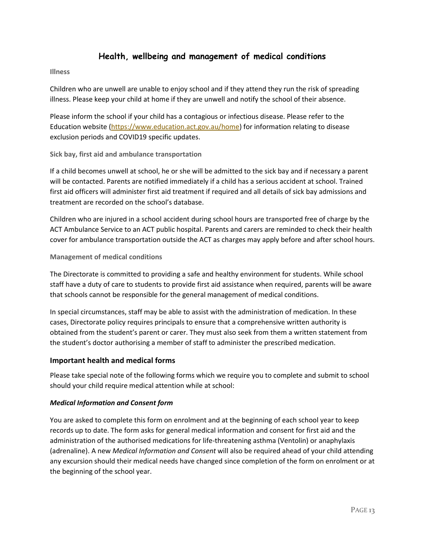# **Health, wellbeing and management of medical conditions**

<span id="page-13-0"></span>**Illness**

Children who are unwell are unable to enjoy school and if they attend they run the risk of spreading illness. Please keep your child at home if they are unwell and notify the school of their absence.

Please inform the school if your child has a contagious or infectious disease. Please refer to the Education website [\(https://www.education.act.gov.au/home\)](https://www.education.act.gov.au/home) for information relating to disease exclusion periods and COVID19 specific updates.

## **Sick bay, first aid and ambulance transportation**

If a child becomes unwell at school, he or she will be admitted to the sick bay and if necessary a parent will be contacted. Parents are notified immediately if a child has a serious accident at school. Trained first aid officers will administer first aid treatment if required and all details of sick bay admissions and treatment are recorded on the school's database.

Children who are injured in a school accident during school hours are transported free of charge by the ACT Ambulance Service to an ACT public hospital. Parents and carers are reminded to check their health cover for ambulance transportation outside the ACT as charges may apply before and after school hours.

## **Management of medical conditions**

The Directorate is committed to providing a safe and healthy environment for students. While school staff have a duty of care to students to provide first aid assistance when required, parents will be aware that schools cannot be responsible for the general management of medical conditions.

In special circumstances, staff may be able to assist with the administration of medication. In these cases, Directorate policy requires principals to ensure that a comprehensive written authority is obtained from the student's parent or carer. They must also seek from them a written statement from the student's doctor authorising a member of staff to administer the prescribed medication.

# <span id="page-13-1"></span>**Important health and medical forms**

Please take special note of the following forms which we require you to complete and submit to school should your child require medical attention while at school:

# *Medical Information and Consent form*

You are asked to complete this form on enrolment and at the beginning of each school year to keep records up to date. The form asks for general medical information and consent for first aid and the administration of the authorised medications for life-threatening asthma (Ventolin) or anaphylaxis (adrenaline). A new *Medical Information and Consent* will also be required ahead of your child attending any excursion should their medical needs have changed since completion of the form on enrolment or at the beginning of the school year.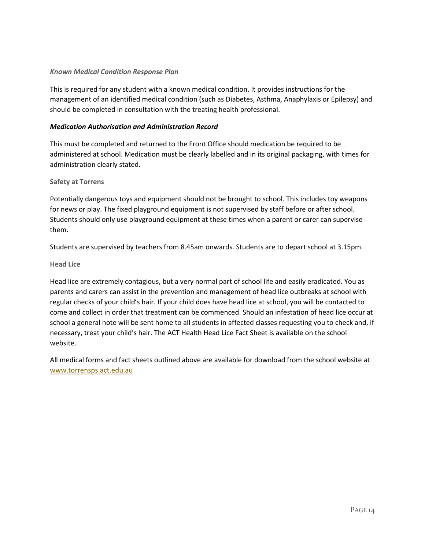# *Known Medical Condition Response Plan*

This is required for any student with a known medical condition. It provides instructions for the management of an identified medical condition (such as Diabetes, Asthma, Anaphylaxis or Epilepsy) and should be completed in consultation with the treating health professional.

## *Medication Authorisation and Administration Record*

This must be completed and returned to the Front Office should medication be required to be administered at school. Medication must be clearly labelled and in its original packaging, with times for administration clearly stated.

## **Safety at Torrens**

Potentially dangerous toys and equipment should not be brought to school. This includes toy weapons for news or play. The fixed playground equipment is not supervised by staff before or after school. Students should only use playground equipment at these times when a parent or carer can supervise them.

Students are supervised by teachers from 8.45am onwards. Students are to depart school at 3.15pm.

#### **Head Lice**

Head lice are extremely contagious, but a very normal part of school life and easily eradicated. You as parents and carers can assist in the prevention and management of head lice outbreaks at school with regular checks of your child's hair. If your child does have head lice at school, you will be contacted to come and collect in order that treatment can be commenced. Should an infestation of head lice occur at school a general note will be sent home to all students in affected classes requesting you to check and, if necessary, treat your child's hair. The ACT Health Head Lice Fact Sheet is available on the school website.

All medical forms and fact sheets outlined above are available for download from the school website at [www.torrensps.act.edu.au](http://www.torrensps.act.edu.au/)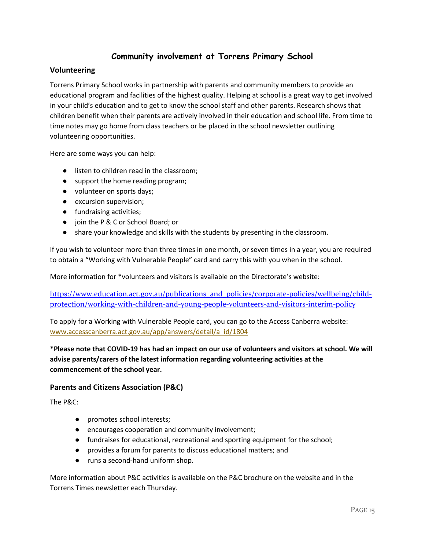# **Community involvement at Torrens Primary School**

# <span id="page-15-1"></span><span id="page-15-0"></span>**Volunteering**

Torrens Primary School works in partnership with parents and community members to provide an educational program and facilities of the highest quality. Helping at school is a great way to get involved in your child's education and to get to know the school staff and other parents. Research shows that children benefit when their parents are actively involved in their education and school life. From time to time notes may go home from class teachers or be placed in the school newsletter outlining volunteering opportunities.

Here are some ways you can help:

- listen to children read in the classroom;
- support the home reading program;
- volunteer on sports days;
- excursion supervision;
- fundraising activities;
- join the P & C or School Board; or
- share your knowledge and skills with the students by presenting in the classroom.

If you wish to volunteer more than three times in one month, or seven times in a year, you are required to obtain a "Working with Vulnerable People" card and carry this with you when in the school.

More information for \*volunteers and visitors is available on the Directorate's website:

https://www.education.act.gov.au/publications and policies/corporate-policies/wellbeing/child[protection/working-with-children-and-young-people-volunteers-and-visitors-interim-policy](https://www.education.act.gov.au/publications_and_policies/corporate-policies/wellbeing/child-protection/working-with-children-and-young-people-volunteers-and-visitors-interim-policy)

To apply for a Working with Vulnerable People card, you can go to the Access Canberra website: [www.accesscanberra.act.gov.au/app/answers/detail/a\\_id/1804](http://www.accesscanberra.act.gov.au/app/answers/detail/a_id/1804)

# **\*Please note that COVID-19 has had an impact on our use of volunteers and visitors at school. We will advise parents/carers of the latest information regarding volunteering activities at the commencement of the school year.**

# <span id="page-15-2"></span>**Parents and Citizens Association (P&C)**

The P&C:

- promotes school interests;
- encourages cooperation and community involvement;
- fundraises for educational, recreational and sporting equipment for the school;
- provides a forum for parents to discuss educational matters; and
- runs a second-hand uniform shop.

More information about P&C activities is available on the P&C brochure on the website and in the Torrens Times newsletter each Thursday.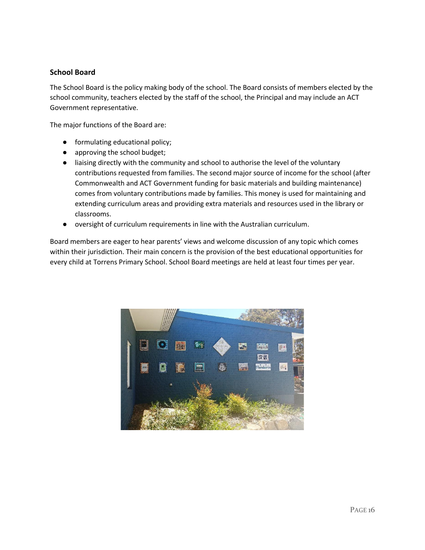# <span id="page-16-0"></span>**School Board**

The School Board is the policy making body of the school. The Board consists of members elected by the school community, teachers elected by the staff of the school, the Principal and may include an ACT Government representative.

The major functions of the Board are:

- formulating educational policy;
- approving the school budget;
- liaising directly with the community and school to authorise the level of the voluntary contributions requested from families. The second major source of income for the school (after Commonwealth and ACT Government funding for basic materials and building maintenance) comes from voluntary contributions made by families. This money is used for maintaining and extending curriculum areas and providing extra materials and resources used in the library or classrooms.
- oversight of curriculum requirements in line with the Australian curriculum.

Board members are eager to hear parents' views and welcome discussion of any topic which comes within their jurisdiction. Their main concern is the provision of the best educational opportunities for every child at Torrens Primary School. School Board meetings are held at least four times per year.

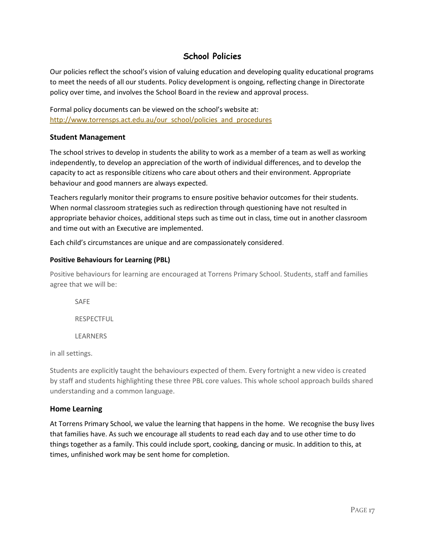# **School Policies**

<span id="page-17-0"></span>Our policies reflect the school's vision of valuing education and developing quality educational programs to meet the needs of all our students. Policy development is ongoing, reflecting change in Directorate policy over time, and involves the School Board in the review and approval process.

Formal policy documents can be viewed on the school's website at: [http://www.torrensps.act.edu.au/our\\_school/policies\\_and\\_procedures](http://www.torrensps.act.edu.au/our_school/policies_and_procedures)

# <span id="page-17-1"></span>**Student Management**

The school strives to develop in students the ability to work as a member of a team as well as working independently, to develop an appreciation of the worth of individual differences, and to develop the capacity to act as responsible citizens who care about others and their environment. Appropriate behaviour and good manners are always expected.

Teachers regularly monitor their programs to ensure positive behavior outcomes for their students. When normal classroom strategies such as redirection through questioning have not resulted in appropriate behavior choices, additional steps such as time out in class, time out in another classroom and time out with an Executive are implemented.

Each child's circumstances are unique and are compassionately considered.

# <span id="page-17-2"></span>**Positive Behaviours for Learning (PBL)**

Positive behaviours for learning are encouraged at Torrens Primary School. Students, staff and families agree that we will be:

SAFE RESPECTFUL LEARNERS

in all settings.

Students are explicitly taught the behaviours expected of them. Every fortnight a new video is created by staff and students highlighting these three PBL core values. This whole school approach builds shared understanding and a common language.

# <span id="page-17-3"></span>**Home Learning**

At Torrens Primary School, we value the learning that happens in the home. We recognise the busy lives that families have. As such we encourage all students to read each day and to use other time to do things together as a family. This could include sport, cooking, dancing or music. In addition to this, at times, unfinished work may be sent home for completion.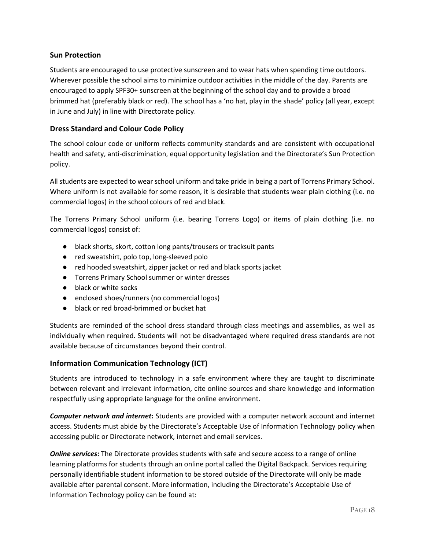# <span id="page-18-0"></span>**Sun Protection**

Students are encouraged to use protective sunscreen and to wear hats when spending time outdoors. Wherever possible the school aims to minimize outdoor activities in the middle of the day. Parents are encouraged to apply SPF30+ sunscreen at the beginning of the school day and to provide a broad brimmed hat (preferably black or red). The school has a 'no hat, play in the shade' policy (all year, except in June and July) in line with Directorate policy.

# <span id="page-18-1"></span>**Dress Standard and Colour Code Policy**

The school colour code or uniform reflects community standards and are consistent with occupational health and safety, anti-discrimination, equal opportunity legislation and the Directorate's Sun Protection policy.

All students are expected to wear school uniform and take pride in being a part of Torrens Primary School. Where uniform is not available for some reason, it is desirable that students wear plain clothing (i.e. no commercial logos) in the school colours of red and black.

The Torrens Primary School uniform (i.e. bearing Torrens Logo) or items of plain clothing (i.e. no commercial logos) consist of:

- black shorts, skort, cotton long pants/trousers or tracksuit pants
- red sweatshirt, polo top, long-sleeved polo
- red hooded sweatshirt, zipper jacket or red and black sports jacket
- Torrens Primary School summer or winter dresses
- black or white socks
- enclosed shoes/runners (no commercial logos)
- black or red broad-brimmed or bucket hat

Students are reminded of the school dress standard through class meetings and assemblies, as well as individually when required. Students will not be disadvantaged where required dress standards are not available because of circumstances beyond their control.

# <span id="page-18-2"></span>**Information Communication Technology (ICT)**

Students are introduced to technology in a safe environment where they are taught to discriminate between relevant and irrelevant information, cite online sources and share knowledge and information respectfully using appropriate language for the online environment.

*Computer network and internet***:** Students are provided with a computer network account and internet access. Students must abide by the Directorate's Acceptable Use of Information Technology policy when accessing public or Directorate network, internet and email services.

*Online services***:** The Directorate provides students with safe and secure access to a range of online learning platforms for students through an online portal called the Digital Backpack. Services requiring personally identifiable student information to be stored outside of the Directorate will only be made available after parental consent. More information, including the Directorate's Acceptable Use of Information Technology policy can be found at: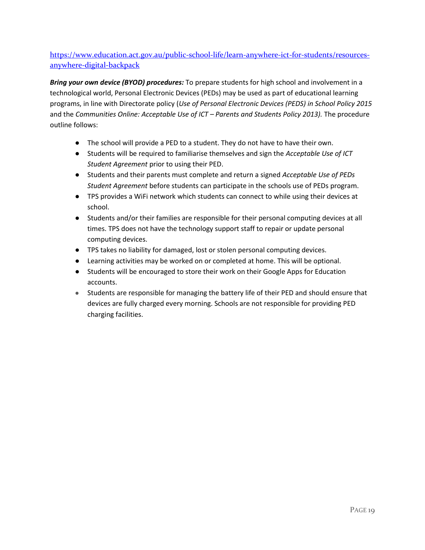[https://www.education.act.gov.au/public-school-life/learn-anywhere-ict-for-students/resources](https://www.education.act.gov.au/public-school-life/learn-anywhere-ict-for-students/resources-anywhere-digital-backpack)[anywhere-digital-backpack](https://www.education.act.gov.au/public-school-life/learn-anywhere-ict-for-students/resources-anywhere-digital-backpack)

*Bring your own device (BYOD) procedures:* To prepare students for high school and involvement in a technological world, Personal Electronic Devices (PEDs) may be used as part of educational learning programs, in line with Directorate policy (*Use of Personal Electronic Devices (PEDS) in School Policy 2015*  and the *Communities Online: Acceptable Use of ICT - Parents and Students Policy 2013).* The procedure outline follows:

- The school will provide a PED to a student. They do not have to have their own.
- Students will be required to familiarise themselves and sign the *Acceptable Use of ICT Student Agreement* prior to using their PED.
- Students and their parents must complete and return a signed *Acceptable Use of PEDs Student Agreement* before students can participate in the schools use of PEDs program.
- TPS provides a WiFi network which students can connect to while using their devices at school.
- Students and/or their families are responsible for their personal computing devices at all times. TPS does not have the technology support staff to repair or update personal computing devices.
- TPS takes no liability for damaged, lost or stolen personal computing devices.
- Learning activities may be worked on or completed at home. This will be optional.
- Students will be encouraged to store their work on their Google Apps for Education accounts.
- Students are responsible for managing the battery life of their PED and should ensure that devices are fully charged every morning. Schools are not responsible for providing PED charging facilities.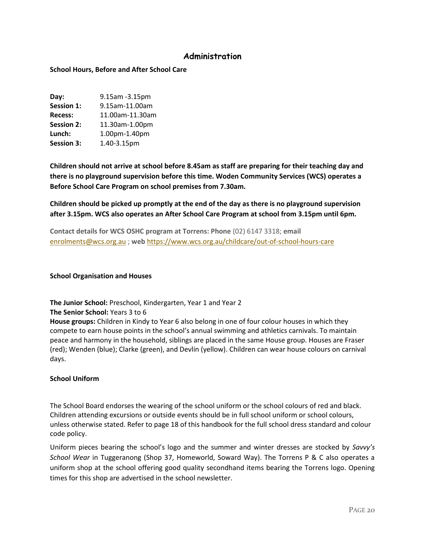# **Administration**

# <span id="page-20-1"></span><span id="page-20-0"></span>**School Hours, Before and After School Care**

| 9.15am -3.15pm  |
|-----------------|
| 9.15am-11.00am  |
| 11.00am-11.30am |
| 11.30am-1.00pm  |
| 1.00pm-1.40pm   |
| 1.40-3.15pm     |
|                 |

**Children should not arrive at school before 8.45am as staff are preparing for their teaching day and there is no playground supervision before this time. Woden Community Services (WCS) operates a Before School Care Program on school premises from 7.30am.**

# **Children should be picked up promptly at the end of the day as there is no playground supervision after 3.15pm. WCS also operates an After School Care Program at school from 3.15pm until 6pm.**

**Contact details for WCS OSHC program at Torrens: Phone** (02) 6147 3318; **email** [enrolments@wcs.org.au](mailto:enrolments@wcs.org.au) ; **web** <https://www.wcs.org.au/childcare/out-of-school-hours-care>

#### <span id="page-20-2"></span>**School Organisation and Houses**

# **The Junior School:** Preschool, Kindergarten, Year 1 and Year 2

#### **The Senior School:** Years 3 to 6

**House groups:** Children in Kindy to Year 6 also belong in one of four colour houses in which they compete to earn house points in the school's annual swimming and athletics carnivals. To maintain peace and harmony in the household, siblings are placed in the same House group. Houses are Fraser (red); Wenden (blue); Clarke (green), and Devlin (yellow). Children can wear house colours on carnival days.

#### <span id="page-20-3"></span>**School Uniform**

The School Board endorses the wearing of the school uniform or the school colours of red and black. Children attending excursions or outside events should be in full school uniform or school colours, unless otherwise stated. Refer to page 18 of this handbook for the full school dress standard and colour code policy.

Uniform pieces bearing the school's logo and the summer and winter dresses are stocked by *Savvy's School Wear* in Tuggeranong (Shop 37, Homeworld, Soward Way). The Torrens P & C also operates a uniform shop at the school offering good quality secondhand items bearing the Torrens logo. Opening times for this shop are advertised in the school newsletter.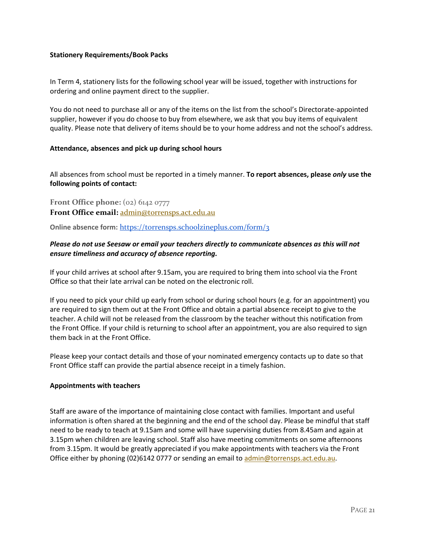# <span id="page-21-0"></span>**Stationery Requirements/Book Packs**

In Term 4, stationery lists for the following school year will be issued, together with instructions for ordering and online payment direct to the supplier.

You do not need to purchase all or any of the items on the list from the school's Directorate-appointed supplier, however if you do choose to buy from elsewhere, we ask that you buy items of equivalent quality. Please note that delivery of items should be to your home address and not the school's address.

## <span id="page-21-1"></span>**Attendance, absences and pick up during school hours**

All absences from school must be reported in a timely manner. **To report absences, please** *only* **use the following points of contact:** 

**Front Office phone:** (02) 6142 0777 **Front Office email:** [admin@torrensps.act.edu.au](mailto:admin@torrensps.act.edu.au)

**Online absence form:** <https://torrensps.schoolzineplus.com/form/3>

# *Please do not use Seesaw or email your teachers directly to communicate absences as this will not ensure timeliness and accuracy of absence reporting.*

If your child arrives at school after 9.15am, you are required to bring them into school via the Front Office so that their late arrival can be noted on the electronic roll.

If you need to pick your child up early from school or during school hours (e.g. for an appointment) you are required to sign them out at the Front Office and obtain a partial absence receipt to give to the teacher. A child will not be released from the classroom by the teacher without this notification from the Front Office. If your child is returning to school after an appointment, you are also required to sign them back in at the Front Office.

Please keep your contact details and those of your nominated emergency contacts up to date so that Front Office staff can provide the partial absence receipt in a timely fashion.

#### <span id="page-21-2"></span>**Appointments with teachers**

Staff are aware of the importance of maintaining close contact with families. Important and useful information is often shared at the beginning and the end of the school day. Please be mindful that staff need to be ready to teach at 9.15am and some will have supervising duties from 8.45am and again at 3.15pm when children are leaving school. Staff also have meeting commitments on some afternoons from 3.15pm. It would be greatly appreciated if you make appointments with teachers via the Front Office either by phoning (02)6142 0777 or sending an email to [admin@torrensps.act.edu.au.](mailto:admin@torrensps.act.edu.au)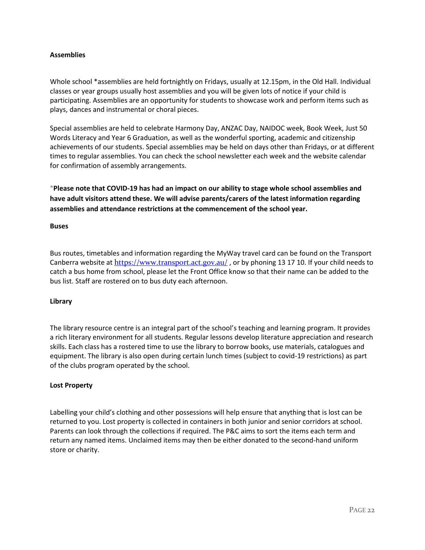# <span id="page-22-0"></span>**Assemblies**

Whole school \*assemblies are held fortnightly on Fridays, usually at 12.15pm, in the Old Hall. Individual classes or year groups usually host assemblies and you will be given lots of notice if your child is participating. Assemblies are an opportunity for students to showcase work and perform items such as plays, dances and instrumental or choral pieces.

Special assemblies are held to celebrate Harmony Day, ANZAC Day, NAIDOC week, Book Week, Just 50 Words Literacy and Year 6 Graduation, as well as the wonderful sporting, academic and citizenship achievements of our students. Special assemblies may be held on days other than Fridays, or at different times to regular assemblies. You can check the school newsletter each week and the website calendar for confirmation of assembly arrangements.

**\*Please note that COVID-19 has had an impact on our ability to stage whole school assemblies and have adult visitors attend these. We will advise parents/carers of the latest information regarding assemblies and attendance restrictions at the commencement of the school year.**

#### <span id="page-22-1"></span>**Buses**

Bus routes, timetables and information regarding the MyWay travel card can be found on the Transport Canberra website at <https://www.transport.act.gov.au/>, or by phoning 13 17 10. If your child needs to catch a bus home from school, please let the Front Office know so that their name can be added to the bus list. Staff are rostered on to bus duty each afternoon.

#### <span id="page-22-2"></span>**Library**

The library resource centre is an integral part of the school's teaching and learning program. It provides a rich literary environment for all students. Regular lessons develop literature appreciation and research skills. Each class has a rostered time to use the library to borrow books, use materials, catalogues and equipment. The library is also open during certain lunch times (subject to covid-19 restrictions) as part of the clubs program operated by the school.

#### <span id="page-22-3"></span>**Lost Property**

Labelling your child's clothing and other possessions will help ensure that anything that is lost can be returned to you. Lost property is collected in containers in both junior and senior corridors at school. Parents can look through the collections if required. The P&C aims to sort the items each term and return any named items. Unclaimed items may then be either donated to the second-hand uniform store or charity.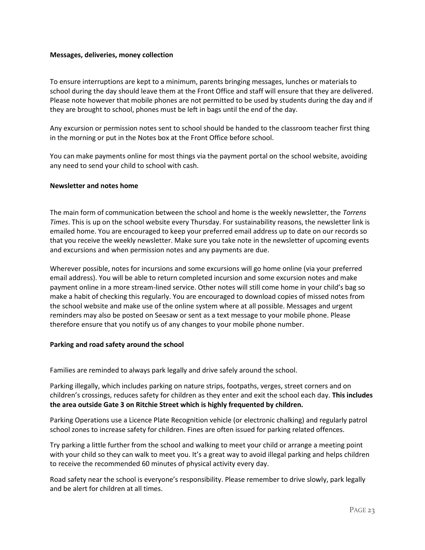#### <span id="page-23-0"></span>**Messages, deliveries, money collection**

To ensure interruptions are kept to a minimum, parents bringing messages, lunches or materials to school during the day should leave them at the Front Office and staff will ensure that they are delivered. Please note however that mobile phones are not permitted to be used by students during the day and if they are brought to school, phones must be left in bags until the end of the day.

Any excursion or permission notes sent to school should be handed to the classroom teacher first thing in the morning or put in the Notes box at the Front Office before school.

You can make payments online for most things via the payment portal on the school website, avoiding any need to send your child to school with cash.

## <span id="page-23-1"></span>**Newsletter and notes home**

The main form of communication between the school and home is the weekly newsletter, the *Torrens Times*. This is up on the school website every Thursday. For sustainability reasons, the newsletter link is emailed home. You are encouraged to keep your preferred email address up to date on our records so that you receive the weekly newsletter. Make sure you take note in the newsletter of upcoming events and excursions and when permission notes and any payments are due.

Wherever possible, notes for incursions and some excursions will go home online (via your preferred email address). You will be able to return completed incursion and some excursion notes and make payment online in a more stream-lined service. Other notes will still come home in your child's bag so make a habit of checking this regularly. You are encouraged to download copies of missed notes from the school website and make use of the online system where at all possible. Messages and urgent reminders may also be posted on Seesaw or sent as a text message to your mobile phone. Please therefore ensure that you notify us of any changes to your mobile phone number.

#### <span id="page-23-2"></span>**Parking and road safety around the school**

Families are reminded to always park legally and drive safely around the school.

Parking illegally, which includes parking on nature strips, footpaths, verges, street corners and on children's crossings, reduces safety for children as they enter and exit the school each day. **This includes the area outside Gate 3 on Ritchie Street which is highly frequented by children.** 

Parking Operations use a Licence Plate Recognition vehicle (or electronic chalking) and regularly patrol school zones to increase safety for children. Fines are often issued for parking related offences.

Try parking a little further from the school and walking to meet your child or arrange a meeting point with your child so they can walk to meet you. It's a great way to avoid illegal parking and helps children to receive the recommended 60 minutes of physical activity every day.

Road safety near the school is everyone's responsibility. Please remember to drive slowly, park legally and be alert for children at all times.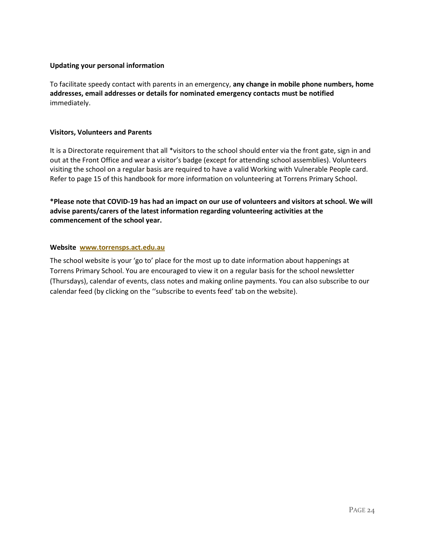# <span id="page-24-0"></span>**Updating your personal information**

To facilitate speedy contact with parents in an emergency, **any change in mobile phone numbers, home addresses, email addresses or details for nominated emergency contacts must be notified** immediately.

# <span id="page-24-1"></span>**Visitors, Volunteers and Parents**

It is a Directorate requirement that all \*visitors to the school should enter via the front gate, sign in and out at the Front Office and wear a visitor's badge (except for attending school assemblies). Volunteers visiting the school on a regular basis are required to have a valid Working with Vulnerable People card. Refer to page 15 of this handbook for more information on volunteering at Torrens Primary School.

**\*Please note that COVID-19 has had an impact on our use of volunteers and visitors at school. We will advise parents/carers of the latest information regarding volunteering activities at the commencement of the school year.**

# <span id="page-24-2"></span>**Website [www.torrensps.act.edu.au](http://www.torrensps.act.edu.au/)**

The school website is your 'go to' place for the most up to date information about happenings at Torrens Primary School. You are encouraged to view it on a regular basis for the school newsletter (Thursdays), calendar of events, class notes and making online payments. You can also subscribe to our calendar feed (by clicking on the ''subscribe to events feed' tab on the website).